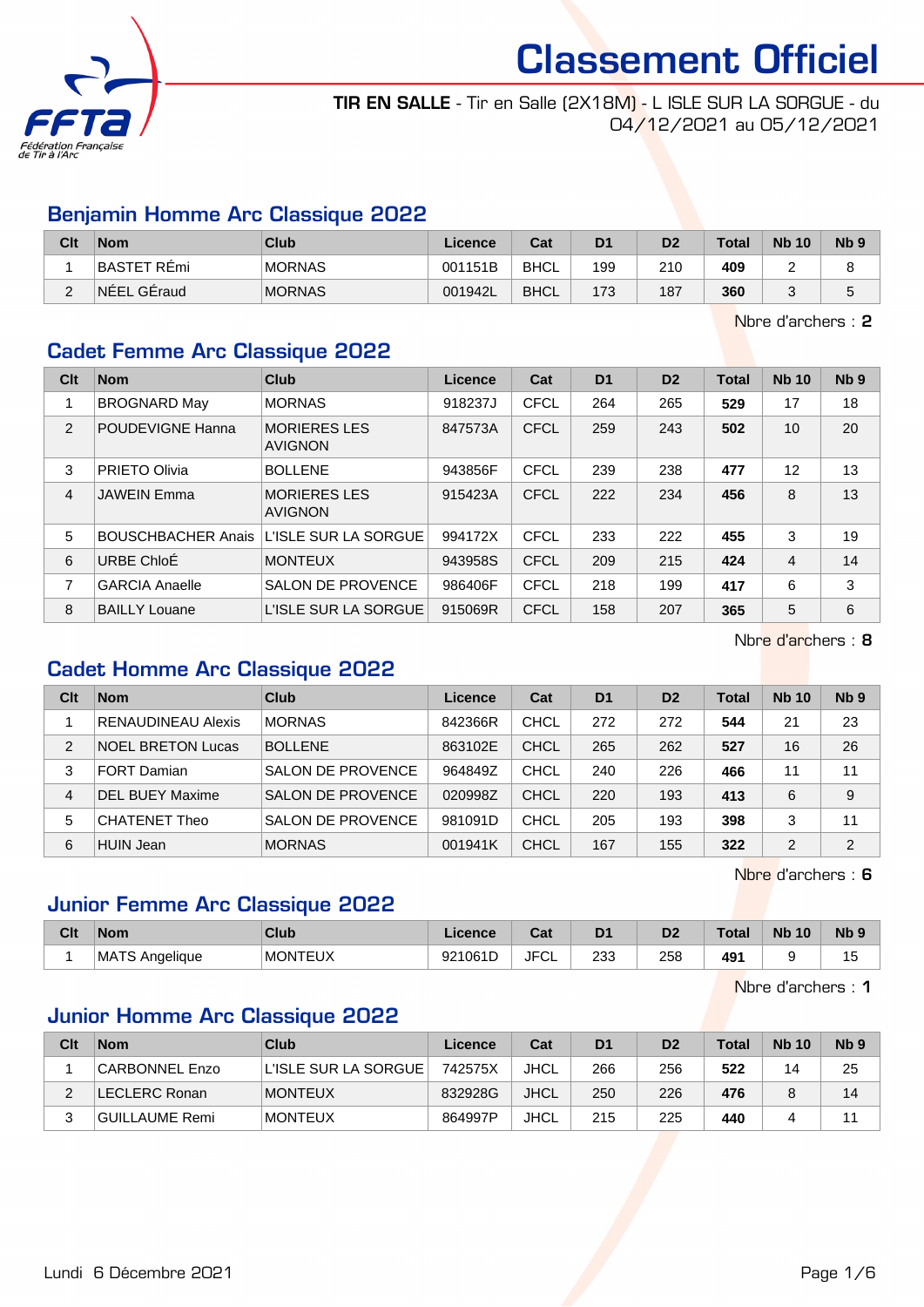

TIR EN SALLE - Tir en Salle (2X18M) - L ISLE SUR LA SORGUE - du 04/12/2021 au 05/12/2021

#### Benjamin Homme Arc Classique 2022

| Clt    | <b>Nom</b>         | <b>Club</b>   | Licence | Cat         | D <sub>1</sub> | D2  | <b>Total</b> | <b>Nb 10</b> | N <sub>b</sub> <sub>9</sub> |
|--------|--------------------|---------------|---------|-------------|----------------|-----|--------------|--------------|-----------------------------|
|        | <b>BASTET REmi</b> | <b>MORNAS</b> | 001151B | <b>BHCL</b> | 199            | 210 | 409          | -            |                             |
| $\sim$ | NEEL GEraud        | <b>MORNAS</b> | 001942L | <b>BHCL</b> | 173            | 187 | 360          |              | ັ                           |

Nbre d'archers : 2

#### Cadet Femme Arc Classique 2022

| Clt | <b>Nom</b>                | Club                                  | Licence | Cat         | D <sub>1</sub> | D <sub>2</sub> | <b>Total</b> | <b>Nb 10</b>   | Nb <sub>9</sub> |
|-----|---------------------------|---------------------------------------|---------|-------------|----------------|----------------|--------------|----------------|-----------------|
|     | <b>BROGNARD May</b>       | <b>MORNAS</b>                         | 918237J | <b>CFCL</b> | 264            | 265            | 529          | 17             | 18              |
| 2   | POUDEVIGNE Hanna          | <b>MORIERES LES</b><br><b>AVIGNON</b> | 847573A | CFCL        | 259            | 243            | 502          | 10             | 20              |
| 3   | PRIETO Olivia             | <b>BOLLENE</b>                        | 943856F | CFCL        | 239            | 238            | 477          | 12             | 13              |
| 4   | <b>JAWEIN Emma</b>        | <b>MORIERES LES</b><br><b>AVIGNON</b> | 915423A | <b>CFCL</b> | 222            | 234            | 456          | 8              | 13              |
| 5   | <b>BOUSCHBACHER Anais</b> | L'ISLE SUR LA SORGUE                  | 994172X | CFCL        | 233            | 222            | 455          | 3              | 19              |
| 6   | URBE ChloÉ                | <b>MONTEUX</b>                        | 943958S | <b>CFCL</b> | 209            | 215            | 424          | $\overline{4}$ | 14              |
| 7   | <b>GARCIA Anaelle</b>     | <b>SALON DE PROVENCE</b>              | 986406F | <b>CFCL</b> | 218            | 199            | 417          | 6              | 3               |
| 8   | <b>BAILLY Louane</b>      | L'ISLE SUR LA SORGUE                  | 915069R | <b>CFCL</b> | 158            | 207            | 365          | 5              | 6               |

Nbre d'archers : 8

## Cadet Homme Arc Classique 2022

| Clt | <b>Nom</b>                | Club                     | Licence | Cat         | D <sub>1</sub> | D <sub>2</sub> | Total | <b>Nb 10</b> | Nb <sub>9</sub> |
|-----|---------------------------|--------------------------|---------|-------------|----------------|----------------|-------|--------------|-----------------|
|     | <b>RENAUDINEAU Alexis</b> | <b>MORNAS</b>            | 842366R | <b>CHCL</b> | 272            | 272            | 544   | 21           | 23              |
| 2   | <b>NOEL BRETON Lucas</b>  | <b>BOLLENE</b>           | 863102E | <b>CHCL</b> | 265            | 262            | 527   | 16           | 26              |
| 3   | <b>FORT Damian</b>        | <b>SALON DE PROVENCE</b> | 964849Z | CHCL        | 240            | 226            | 466   | 11           | 11              |
| 4   | <b>DEL BUEY Maxime</b>    | <b>SALON DE PROVENCE</b> | 020998Z | CHCL        | 220            | 193            | 413   | 6            | 9               |
| 5   | <b>CHATENET Theo</b>      | <b>SALON DE PROVENCE</b> | 981091D | <b>CHCL</b> | 205            | 193            | 398   | 3            | 11              |
| 6   | <b>HUIN Jean</b>          | <b>MORNAS</b>            | 001941K | <b>CHCL</b> | 167            | 155            | 322   | 2            | $\overline{2}$  |

Nbre d'archers : 6

#### Junior Femme Arc Classique 2022

| Clt | <b>Nom</b>                  | <b>Club</b>    | ∟icence | $\sim$<br>⊍م | D <sub>1</sub> | D <sub>2</sub> | Total | <b>N<sub>b</sub></b><br>10 | <b>N<sub>b</sub></b> |
|-----|-----------------------------|----------------|---------|--------------|----------------|----------------|-------|----------------------------|----------------------|
|     | <b>MATS</b><br>TS Anaeliaue | <b>MONTEUX</b> | 921061D | <b>JFCL</b>  | 233            | 258            | 49    |                            | ں ا                  |

Nbre d'archers : 1

## Junior Homme Arc Classique 2022

| Clt      | <b>Nom</b>     | Club                   | Licence | Cat         | D <sub>1</sub> | D <sub>2</sub> | <b>Total</b> | <b>Nb 10</b> | Nb <sub>9</sub> |
|----------|----------------|------------------------|---------|-------------|----------------|----------------|--------------|--------------|-----------------|
|          | CARBONNEL Enzo | L'ISLE SUR LA SORGUE I | 742575X | JHCL        | 266            | 256            | 522          | 14           | 25              |
| <u>.</u> | LECLERC Ronan  | <b>MONTEUX</b>         | 832928G | <b>JHCL</b> | 250            | 226            | 476          |              | 14              |
| 2<br>ບ   | GUILLAUME Remi | <b>MONTEUX</b>         | 864997P | <b>JHCL</b> | 215            | 225            | 440          |              | 11              |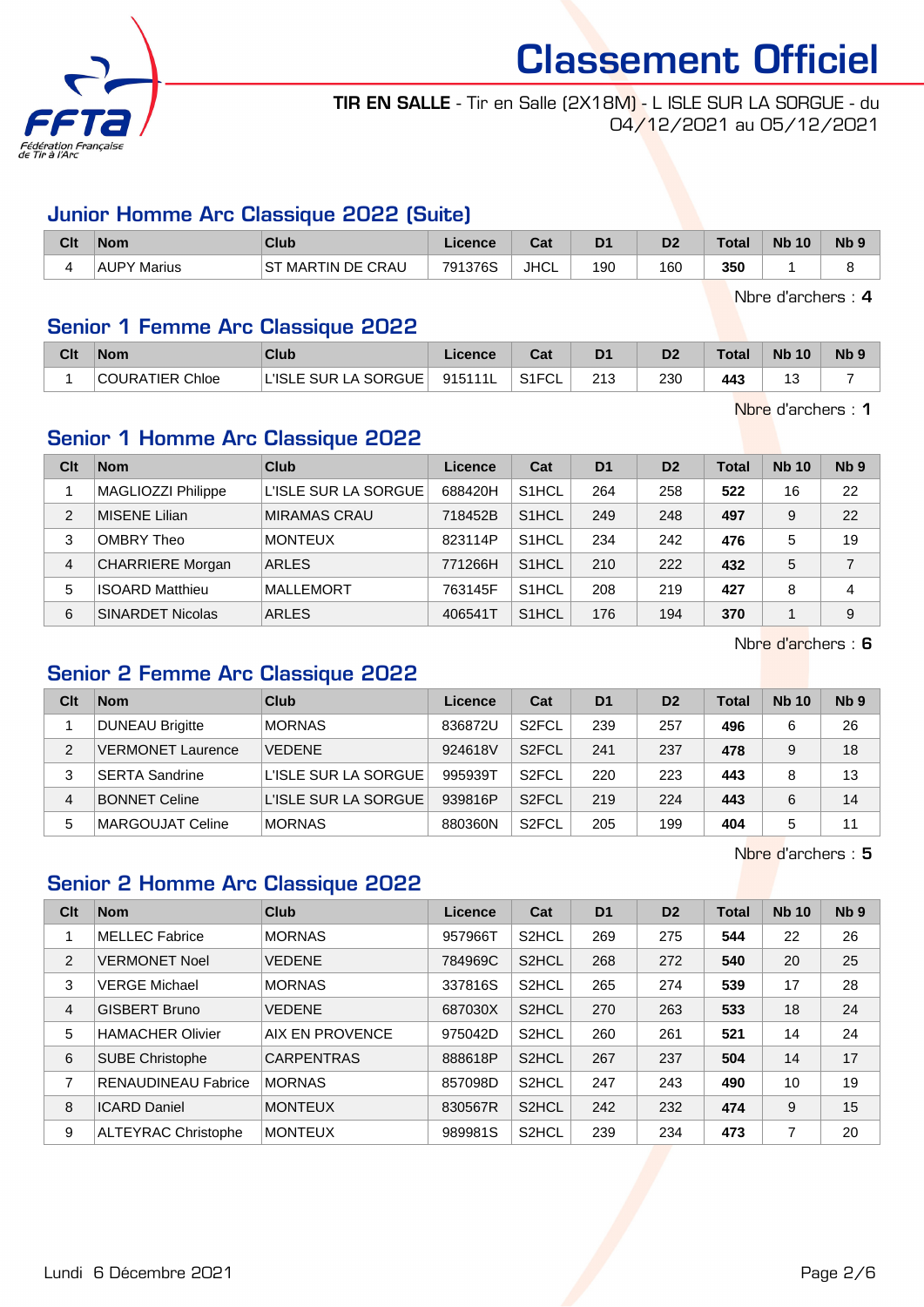

#### TIR EN SALLE - Tir en Salle (2X18M) - L ISLE SUR LA SORGUE - du 04/12/2021 au 05/12/2021

#### Junior Homme Arc Classique 2022 (Suite)

| Clt | <b>Nom</b>         | <b>Club</b>              | Licence | <b>Take</b><br>⊍aι | D <sup>1</sup> | D2  | <b>Total</b> | <b>N<sub>b</sub></b><br>10 | N <sub>b</sub> <sub>9</sub> |
|-----|--------------------|--------------------------|---------|--------------------|----------------|-----|--------------|----------------------------|-----------------------------|
|     | <b>AUPY Marius</b> | <b>ST MARTIN DE CRAU</b> | 791376S | JHCL               | 190            | 160 | 350          |                            |                             |

Nbre d'archers : 4

#### Senior 1 Femme Arc Classique 2022

| Clt | <b>Nom</b>             | Club                       | Licence | ◠∼<br>va | D <sub>1</sub> | D2  | <b>Total</b> | <b>Nb 10</b> | Nb ! |
|-----|------------------------|----------------------------|---------|----------|----------------|-----|--------------|--------------|------|
|     | <b>COURATIER Chloe</b> | LA SORGUE<br>' 'ISLE SUR L | 915111L | S1FCL    | 213            | 230 | 443          | u            |      |

Nbre d'archers : 1

## Senior 1 Homme Arc Classique 2022

| Clt | <b>Nom</b>              | Club                 | Licence | Cat                | D <sub>1</sub> | D <sub>2</sub> | <b>Total</b> | <b>Nb 10</b> | Nb <sub>9</sub> |
|-----|-------------------------|----------------------|---------|--------------------|----------------|----------------|--------------|--------------|-----------------|
|     | MAGLIOZZI Philippe      | L'ISLE SUR LA SORGUE | 688420H | S <sub>1</sub> HCL | 264            | 258            | 522          | 16           | 22              |
| 2   | <b>MISENE Lilian</b>    | MIRAMAS CRAU         | 718452B | S <sub>1</sub> HCL | 249            | 248            | 497          | 9            | 22              |
| 3   | OMBRY Theo              | <b>MONTEUX</b>       | 823114P | S <sub>1</sub> HCL | 234            | 242            | 476          | 5            | 19              |
| 4   | <b>CHARRIERE</b> Morgan | <b>ARLES</b>         | 771266H | S <sub>1</sub> HCL | 210            | 222            | 432          | 5            | 7               |
| 5   | <b>ISOARD Matthieu</b>  | <b>MALLEMORT</b>     | 763145F | S <sub>1</sub> HCL | 208            | 219            | 427          | 8            | 4               |
| 6   | <b>SINARDET Nicolas</b> | <b>ARLES</b>         | 406541T | S <sub>1</sub> HCL | 176            | 194            | 370          |              | 9               |

Nbre d'archers : 6

#### Senior 2 Femme Arc Classique 2022

| Clt | <b>Nom</b>               | Club                 | Licence | Cat                | D <sub>1</sub> | D <sub>2</sub> | Total | <b>Nb 10</b> | N <sub>b</sub> <sub>9</sub> |
|-----|--------------------------|----------------------|---------|--------------------|----------------|----------------|-------|--------------|-----------------------------|
|     | <b>DUNEAU Brigitte</b>   | <b>MORNAS</b>        | 836872U | S <sub>2</sub> FCL | 239            | 257            | 496   | 6            | 26                          |
| 2   | <b>VERMONET Laurence</b> | <b>VEDENE</b>        | 924618V | S <sub>2</sub> FCL | 241            | 237            | 478   | 9            | 18                          |
| 3   | <b>SERTA Sandrine</b>    | L'ISLE SUR LA SORGUE | 995939T | S <sub>2</sub> FCL | 220            | 223            | 443   | 8            | 13                          |
| 4   | <b>BONNET Celine</b>     | L'ISLE SUR LA SORGUE | 939816P | S <sub>2</sub> FCL | 219            | 224            | 443   | 6            | 14                          |
| 5   | MARGOUJAT Celine         | <b>MORNAS</b>        | 880360N | S <sub>2</sub> FCL | 205            | 199            | 404   | 5            | 11                          |

Nbre d'archers : 5

## Senior 2 Homme Arc Classique 2022

| Clt            | <b>Nom</b>                 | Club              | Licence | Cat                | D <sub>1</sub> | D <sub>2</sub> | <b>Total</b> | <b>Nb 10</b> | Nb <sub>9</sub> |
|----------------|----------------------------|-------------------|---------|--------------------|----------------|----------------|--------------|--------------|-----------------|
|                | <b>MELLEC Fabrice</b>      | <b>MORNAS</b>     | 957966T | S <sub>2</sub> HCL | 269            | 275            | 544          | 22           | 26              |
| 2              | <b>VERMONET Noel</b>       | <b>VEDENE</b>     | 784969C | S <sub>2</sub> HCL | 268            | 272            | 540          | 20           | 25              |
| 3              | <b>VERGE Michael</b>       | <b>MORNAS</b>     | 337816S | S <sub>2</sub> HCL | 265            | 274            | 539          | 17           | 28              |
| $\overline{4}$ | <b>GISBERT Bruno</b>       | <b>VEDENE</b>     | 687030X | S <sub>2</sub> HCL | 270            | 263            | 533          | 18           | 24              |
| 5              | <b>HAMACHER Olivier</b>    | AIX EN PROVENCE   | 975042D | S <sub>2</sub> HCL | 260            | 261            | 521          | 14           | 24              |
| 6              | <b>SUBE Christophe</b>     | <b>CARPENTRAS</b> | 888618P | S <sub>2</sub> HCL | 267            | 237            | 504          | 14           | 17              |
| 7              | <b>RENAUDINEAU Fabrice</b> | <b>MORNAS</b>     | 857098D | S <sub>2</sub> HCL | 247            | 243            | 490          | 10           | 19              |
| 8              | <b>ICARD Daniel</b>        | <b>MONTEUX</b>    | 830567R | S <sub>2</sub> HCL | 242            | 232            | 474          | 9            | 15              |
| 9              | <b>ALTEYRAC Christophe</b> | <b>MONTEUX</b>    | 989981S | S <sub>2</sub> HCL | 239            | 234            | 473          | 7            | 20              |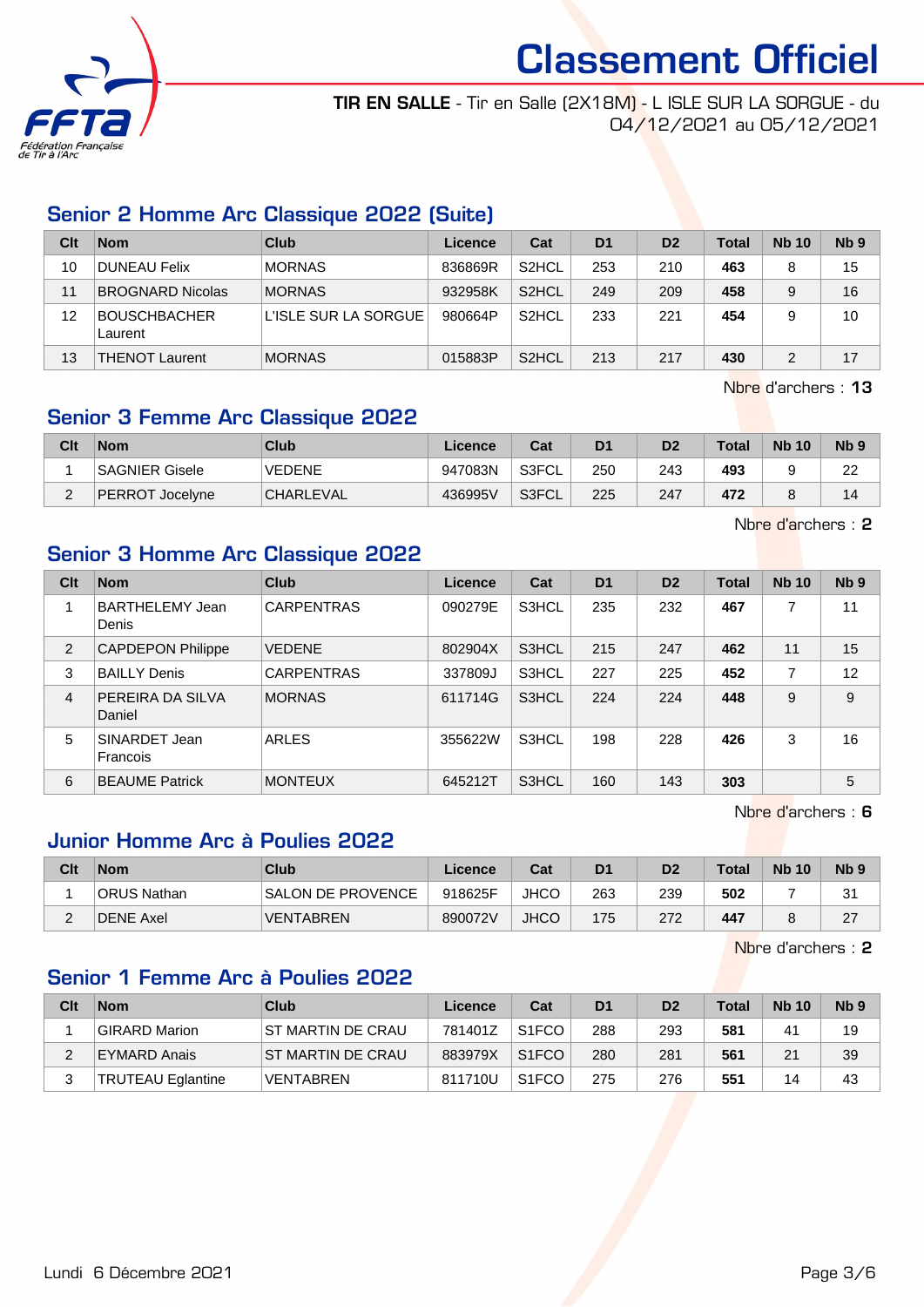

TIR EN SALLE - Tir en Salle (2X18M) - L ISLE SUR LA SORGUE - du 04/12/2021 au 05/12/2021

## Senior 2 Homme Arc Classique 2022 (Suite)

| Clt | <b>Nom</b>                     | Club                 | Licence | Cat                | D <sub>1</sub> | D <sub>2</sub> | <b>Total</b> | <b>Nb 10</b> | N <sub>b</sub> <sub>9</sub> |
|-----|--------------------------------|----------------------|---------|--------------------|----------------|----------------|--------------|--------------|-----------------------------|
| 10  | <b>DUNEAU Felix</b>            | <b>MORNAS</b>        | 836869R | S <sub>2</sub> HCL | 253            | 210            | 463          | 8            | 15                          |
| 11  | <b>BROGNARD Nicolas</b>        | <b>MORNAS</b>        | 932958K | S <sub>2</sub> HCL | 249            | 209            | 458          | 9            | 16                          |
| 12  | <b>BOUSCHBACHER</b><br>Laurent | L'ISLE SUR LA SORGUE | 980664P | S <sub>2</sub> HCL | 233            | 221            | 454          |              | 10                          |
| 13  | <b>THENOT Laurent</b>          | <b>MORNAS</b>        | 015883P | S <sub>2</sub> HCL | 213            | 217            | 430          | 2            | 17                          |

Nbre d'archers : 13

### Senior 3 Femme Arc Classique 2022

| Clt    | <b>Nom</b>      | Club             | Licence | Cat    | D1  | D2  | <b>Total</b> | <b>Nb 10</b> | N <sub>b</sub> <sub>9</sub> |
|--------|-----------------|------------------|---------|--------|-----|-----|--------------|--------------|-----------------------------|
|        | SAGNIER Gisele  | <b>VEDENE</b>    | 947083N | `S3FCL | 250 | 243 | 493          |              | 22                          |
| $\sim$ | PERROT Jocelyne | <b>CHARLEVAL</b> | 436995V | S3FCL  | 225 | 247 | 472          |              | 14                          |

Nbre d'archers : 2

## Senior 3 Homme Arc Classique 2022

| Clt            | <b>Nom</b>                      | Club              | <b>Licence</b> | Cat   | D <sub>1</sub> | D <sub>2</sub> | <b>Total</b> | <b>Nb 10</b>   | N <sub>b</sub> <sub>9</sub> |
|----------------|---------------------------------|-------------------|----------------|-------|----------------|----------------|--------------|----------------|-----------------------------|
| 1              | <b>BARTHELEMY Jean</b><br>Denis | <b>CARPENTRAS</b> | 090279E        | S3HCL | 235            | 232            | 467          |                | 11                          |
| 2              | <b>CAPDEPON Philippe</b>        | <b>VEDENE</b>     | 802904X        | S3HCL | 215            | 247            | 462          | 11             | 15                          |
| 3              | <b>BAILLY Denis</b>             | <b>CARPENTRAS</b> | 337809J        | S3HCL | 227            | 225            | 452          | $\overline{7}$ | 12                          |
| $\overline{4}$ | PEREIRA DA SILVA<br>Daniel      | <b>MORNAS</b>     | 611714G        | S3HCL | 224            | 224            | 448          | 9              | 9                           |
| 5              | SINARDET Jean<br>Francois       | ARLES             | 355622W        | S3HCL | 198            | 228            | 426          | 3              | 16                          |
| 6              | <b>BEAUME Patrick</b>           | <b>MONTEUX</b>    | 645212T        | S3HCL | 160            | 143            | 303          |                | 5                           |

Nbre d'archers : 6

#### Junior Homme Arc à Poulies 2022

| Clt | <b>Nom</b>   | <b>Club</b>       | Licence | Cat         | D <sub>1</sub> | D <sub>2</sub> | <b>Total</b> | <b>Nb 10</b> | Nb <sub>9</sub> |
|-----|--------------|-------------------|---------|-------------|----------------|----------------|--------------|--------------|-----------------|
|     | 'ORUS Nathan | SALON DE PROVENCE | 918625F | <b>JHCO</b> | 263            | 239            | 502          |              | 21<br>ا ب       |
|     | DENE Axel    | <b>VENTABREN</b>  | 890072V | <b>JHCO</b> | 175            | 272            | 447          |              | 27              |

Nbre d'archers : 2

#### Senior 1 Femme Arc à Poulies 2022

| Clt | <b>Nom</b>               | Club                     | Licence | Cat                | D <sub>1</sub> | D <sub>2</sub> | <b>Total</b> | <b>Nb 10</b>   | N <sub>b</sub> <sub>9</sub> |
|-----|--------------------------|--------------------------|---------|--------------------|----------------|----------------|--------------|----------------|-----------------------------|
|     | <b>GIRARD Marion</b>     | <b>ST MARTIN DE CRAU</b> | 781401Z | S <sub>1</sub> FCO | 288            | 293            | 581          | 4 <sup>1</sup> | 19                          |
|     | EYMARD Anais             | IST MARTIN DE CRAU       | 883979X | S <sub>1</sub> FCO | 280            | 281            | 561          | 21             | 39                          |
| っ   | <b>TRUTEAU Eglantine</b> | <b>VENTABREN</b>         | 811710U | S <sub>1</sub> FCO | 275            | 276            | 551          | 14             | 43                          |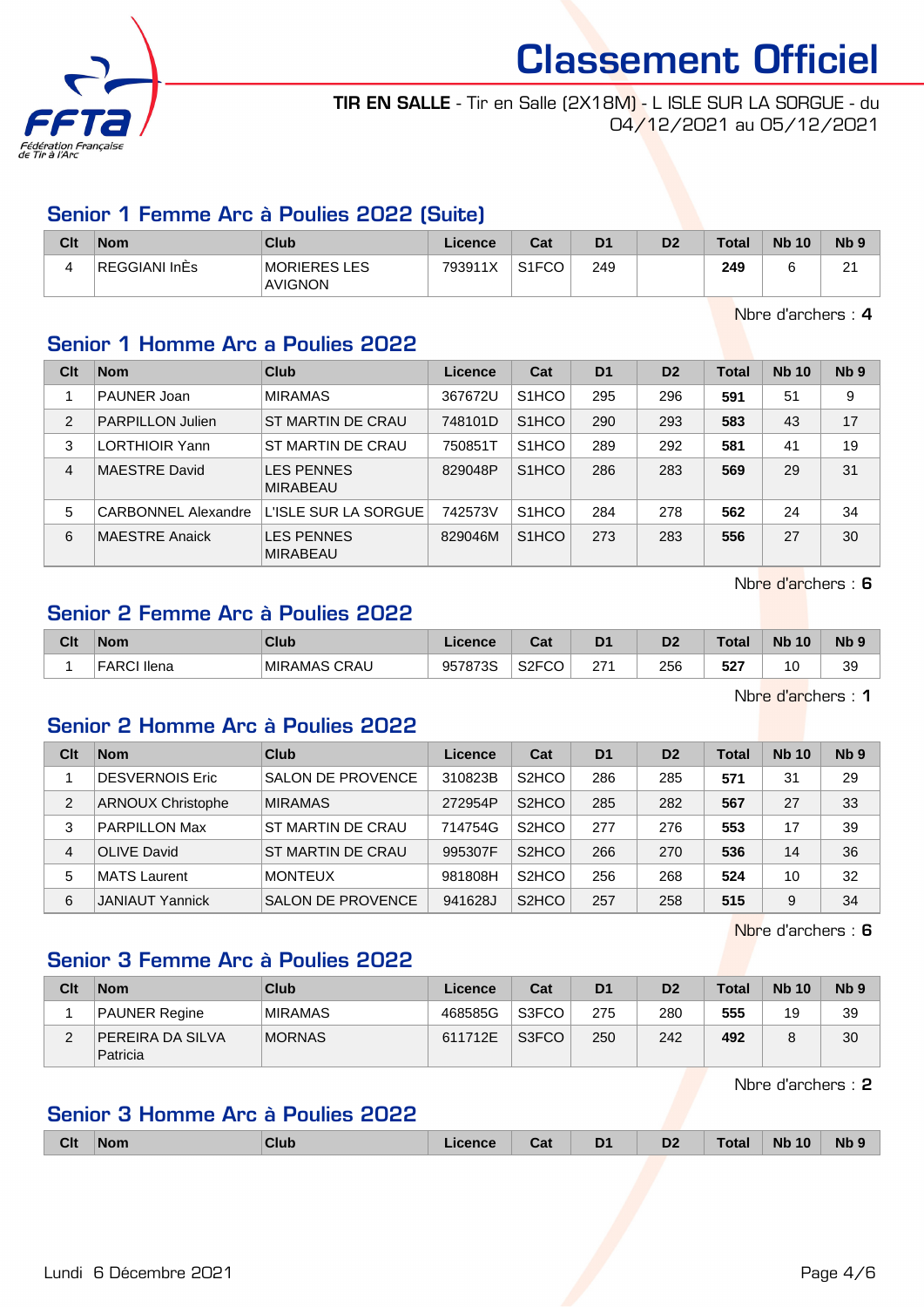

TIR EN SALLE - Tir en Salle (2X18M) - L ISLE SUR LA SORGUE - du 04/12/2021 au 05/12/2021

#### Senior 1 Femme Arc à Poulies 2022 (Suite)

| Clt | <b>Nom</b>    | <b>Club</b>                    | Licence | Cat                | D <sub>1</sub> | D <sub>2</sub> | <b>Total</b> | <b>Nb 10</b> | Nb <sub>5</sub>    |
|-----|---------------|--------------------------------|---------|--------------------|----------------|----------------|--------------|--------------|--------------------|
|     | REGGIANI InÉs | <b>MORIERES LES</b><br>AVIGNON | 793911X | S <sub>1</sub> FCO | 249            |                | 249          |              | $\sim$<br><u>_</u> |

Nbre d'archers : 4

## Senior 1 Homme Arc a Poulies 2022

| Clt            | <b>Nom</b>                 | Club                                 | Licence | Cat                | D <sub>1</sub> | D <sub>2</sub> | <b>Total</b> | <b>Nb 10</b> | N <sub>b</sub> <sub>9</sub> |
|----------------|----------------------------|--------------------------------------|---------|--------------------|----------------|----------------|--------------|--------------|-----------------------------|
|                | PAUNER Joan                | <b>MIRAMAS</b>                       | 367672U | S <sub>1</sub> HCO | 295            | 296            | 591          | 51           | 9                           |
| $\overline{2}$ | <b>PARPILLON Julien</b>    | ST MARTIN DE CRAU                    | 748101D | S <sub>1</sub> HCO | 290            | 293            | 583          | 43           | 17                          |
| 3              | <b>LORTHIOIR Yann</b>      | ST MARTIN DE CRAU                    | 750851T | S <sub>1</sub> HCO | 289            | 292            | 581          | 41           | 19                          |
| 4              | <b>MAESTRE David</b>       | <b>LES PENNES</b><br><b>MIRABEAU</b> | 829048P | S <sub>1</sub> HCO | 286            | 283            | 569          | 29           | 31                          |
| 5              | <b>CARBONNEL Alexandre</b> | L'ISLE SUR LA SORGUE                 | 742573V | S <sub>1</sub> HCO | 284            | 278            | 562          | 24           | 34                          |
| 6              | <b>MAESTRE Anaick</b>      | <b>LES PENNES</b><br><b>MIRABEAU</b> | 829046M | S <sub>1</sub> HCO | 273            | 283            | 556          | 27           | 30                          |

Nbre d'archers : 6

## Senior 2 Femme Arc à Poulies 2022

| Clt | <b>Nom</b>  | Club         | Licence | Cat                | D1  | D <sub>2</sub> | <b>Total</b> | <b>N<sub>b</sub></b><br>10 | N <sub>b</sub> <sub>9</sub> |
|-----|-------------|--------------|---------|--------------------|-----|----------------|--------------|----------------------------|-----------------------------|
|     | FARCI Ilena | MIRAMAS CRAU | 957873S | S <sub>2</sub> FCO | 271 | 256            | 527<br>_     | 10                         | 39                          |

Nbre d'archers : 1

## Senior 2 Homme Arc à Poulies 2022

| Clt            | <b>Nom</b>               | Club                     | Licence | Cat                            | D <sub>1</sub> | D <sub>2</sub> | <b>Total</b> | <b>Nb 10</b> | Nb <sub>9</sub> |
|----------------|--------------------------|--------------------------|---------|--------------------------------|----------------|----------------|--------------|--------------|-----------------|
|                | <b>DESVERNOIS Eric</b>   | <b>SALON DE PROVENCE</b> | 310823B | S <sub>2</sub> H <sub>CO</sub> | 286            | 285            | 571          | 31           | 29              |
| $\overline{2}$ | <b>ARNOUX Christophe</b> | <b>MIRAMAS</b>           | 272954P | S <sub>2</sub> HCO             | 285            | 282            | 567          | 27           | 33              |
| 3              | <b>PARPILLON Max</b>     | ST MARTIN DE CRAU        | 714754G | S <sub>2</sub> H <sub>CO</sub> | 277            | 276            | 553          | 17           | 39              |
| 4              | <b>OLIVE David</b>       | ST MARTIN DE CRAU        | 995307F | S <sub>2</sub> H <sub>CO</sub> | 266            | 270            | 536          | 14           | 36              |
| 5              | <b>MATS</b> Laurent      | <b>MONTEUX</b>           | 981808H | S <sub>2</sub> HCO             | 256            | 268            | 524          | 10           | 32              |
| 6              | <b>JANIAUT Yannick</b>   | <b>SALON DE PROVENCE</b> | 941628J | S <sub>2</sub> H <sub>CO</sub> | 257            | 258            | 515          | 9            | 34              |

Nbre d'archers : 6

## Senior 3 Femme Arc à Poulies 2022

| Clt | <b>Nom</b>                          | Club           | Licence | Cat   | D <sub>1</sub> | D <sub>2</sub> | <b>Total</b> | <b>Nb 10</b> | Nb <sub>9</sub> |
|-----|-------------------------------------|----------------|---------|-------|----------------|----------------|--------------|--------------|-----------------|
|     | PAUNER Regine                       | <b>MIRAMAS</b> | 468585G | S3FCO | 275            | 280            | 555          | 19           | 39              |
|     | <b>PEREIRA DA SILVA</b><br>Patricia | <b>MORNAS</b>  | 611712E | S3FCO | 250            | 242            | 492          |              | 30              |

Nbre d'archers : 2

### Senior 3 Homme Arc à Poulies 2022

|  | <b>Clt</b> | ∣Nom | <b>Club</b> | Licence | Cat | D <sub>1</sub><br>- - | D <sub>2</sub><br>-- | Total | <b>Nb 10</b> | Nb <sub>9</sub> |
|--|------------|------|-------------|---------|-----|-----------------------|----------------------|-------|--------------|-----------------|
|--|------------|------|-------------|---------|-----|-----------------------|----------------------|-------|--------------|-----------------|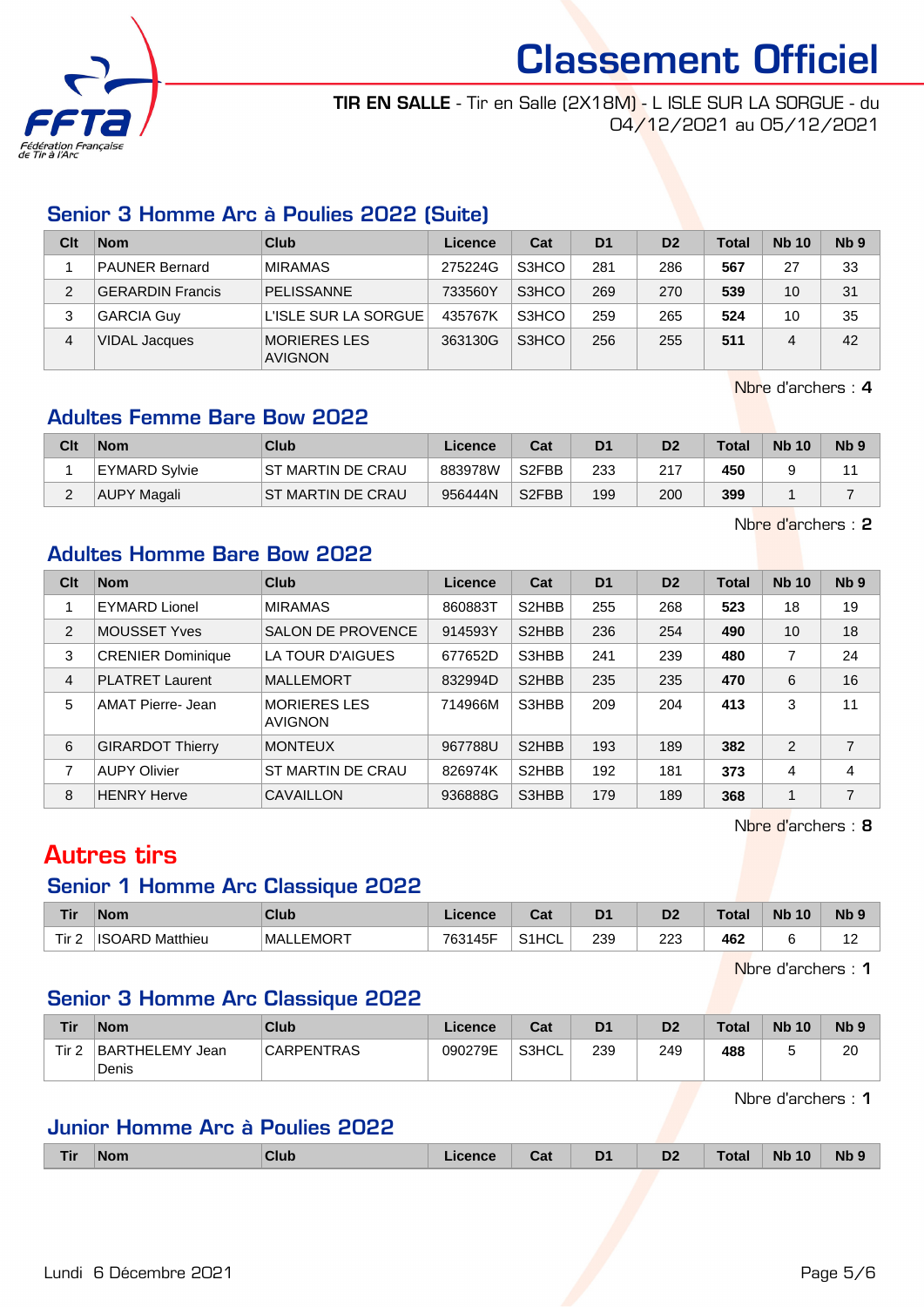

TIR EN SALLE - Tir en Salle (2X18M) - L ISLE SUR LA SORGUE - du 04/12/2021 au 05/12/2021

## Senior 3 Homme Arc à Poulies 2022 (Suite)

| Clt | <b>Nom</b>              | Club                           | Licence | Cat   | D <sub>1</sub> | D <sub>2</sub> | <b>Total</b> | <b>Nb 10</b> | N <sub>b</sub> <sub>9</sub> |
|-----|-------------------------|--------------------------------|---------|-------|----------------|----------------|--------------|--------------|-----------------------------|
|     | <b>PAUNER Bernard</b>   | <b>MIRAMAS</b>                 | 275224G | S3HCO | 281            | 286            | 567          | 27           | 33                          |
|     | <b>GERARDIN Francis</b> | PELISSANNE                     | 733560Y | S3HCO | 269            | 270            | 539          | 10           | 31                          |
| 3   | <b>GARCIA Guy</b>       | L'ISLE SUR LA SORGUE           | 435767K | S3HCO | 259            | 265            | 524          | 10           | 35                          |
| 4   | <b>VIDAL Jacques</b>    | MORIERES LES<br><b>AVIGNON</b> | 363130G | S3HCO | 256            | 255            | 511          | 4            | 42                          |

Nbre d'archers : 4

### Adultes Femme Bare Bow 2022

| Clt | <b>Nom</b>    | Club                     | Licence | Cat                | D <sub>1</sub> | D <sub>2</sub> | <b>Total</b> | <b>Nb 10</b> | N <sub>b</sub> <sub>9</sub> |
|-----|---------------|--------------------------|---------|--------------------|----------------|----------------|--------------|--------------|-----------------------------|
|     | EYMARD Sylvie | <b>ST MARTIN DE CRAU</b> | 883978W | S2FBB              | 233            | 217            | 450          |              |                             |
|     | AUPY Magali   | IST MARTIN DE CRAU       | 956444N | S <sub>2</sub> FBB | 199            | 200            | 399          |              |                             |

Nbre d'archers : 2

#### Adultes Homme Bare Bow 2022

| Clt            | <b>Nom</b>               | Club                                  | Licence | Cat                | D <sub>1</sub> | D <sub>2</sub> | <b>Total</b> | <b>Nb 10</b> | N <sub>b</sub> <sub>9</sub> |
|----------------|--------------------------|---------------------------------------|---------|--------------------|----------------|----------------|--------------|--------------|-----------------------------|
|                | <b>EYMARD Lionel</b>     | <b>MIRAMAS</b>                        | 860883T | S <sub>2</sub> HBB | 255            | 268            | 523          | 18           | 19                          |
| 2              | <b>MOUSSET Yves</b>      | <b>SALON DE PROVENCE</b>              | 914593Y | S <sub>2</sub> HBB | 236            | 254            | 490          | 10           | 18                          |
| 3              | <b>CRENIER Dominique</b> | LA TOUR D'AIGUES                      | 677652D | S3HBB              | 241            | 239            | 480          | 7            | 24                          |
| $\overline{4}$ | <b>PLATRET Laurent</b>   | <b>MALLEMORT</b>                      | 832994D | S <sub>2</sub> HBB | 235            | 235            | 470          | 6            | 16                          |
| 5              | AMAT Pierre- Jean        | <b>MORIERES LES</b><br><b>AVIGNON</b> | 714966M | S3HBB              | 209            | 204            | 413          | 3            | 11                          |
| 6              | <b>GIRARDOT Thierry</b>  | <b>MONTEUX</b>                        | 967788U | S <sub>2</sub> HBB | 193            | 189            | 382          | 2            | 7                           |
| 7              | <b>AUPY Olivier</b>      | <b>ST MARTIN DE CRAU</b>              | 826974K | S2HBB              | 192            | 181            | 373          | 4            | 4                           |
| 8              | <b>HENRY Herve</b>       | CAVAILLON                             | 936888G | S3HBB              | 179            | 189            | 368          | 1            | 7                           |

Nbre d'archers : 8

## Autres tirs

#### Senior 1 Homme Arc Classique 2022

| <b>Tir</b> | <b>Nom</b>             | <b>Club</b>       | Licence | $\sim$<br>ual      | D <sub>1</sub> | D <sub>2</sub> | <b>Total</b> | <b>N<sub>b</sub></b><br>10 | N <sub>b</sub> s |
|------------|------------------------|-------------------|---------|--------------------|----------------|----------------|--------------|----------------------------|------------------|
| Tir $2$    | <b>ISOARD Matthieu</b> | <b>IMALLEMORT</b> | 763145F | S <sub>1</sub> HCL | 239            | 223            | 462          |                            | . .              |

Nbre d'archers : 1

## Senior 3 Homme Arc Classique 2022

| <b>Tir</b> | Nom                         | Club              | Licence | Cat   | D <sub>1</sub> | D <sub>2</sub> | <b>Total</b> | <b>Nb 10</b> | <b>N<sub>b</sub></b> |
|------------|-----------------------------|-------------------|---------|-------|----------------|----------------|--------------|--------------|----------------------|
| Tir 2      | BARTHELEMY<br>Jean<br>Denis | <b>CARPENTRAS</b> | 090279E | S3HCL | 239            | 249            | 488          |              | 20                   |

Nbre d'archers : 1

## Junior Homme Arc à Poulies 2022

|  | l II | 'Nom | Club | icence | va. | D <sub>1</sub><br>- | D <sub>2</sub> | $-$ nte $-$ | 10<br><b>Nb</b> | <b>Nb</b> |
|--|------|------|------|--------|-----|---------------------|----------------|-------------|-----------------|-----------|
|--|------|------|------|--------|-----|---------------------|----------------|-------------|-----------------|-----------|